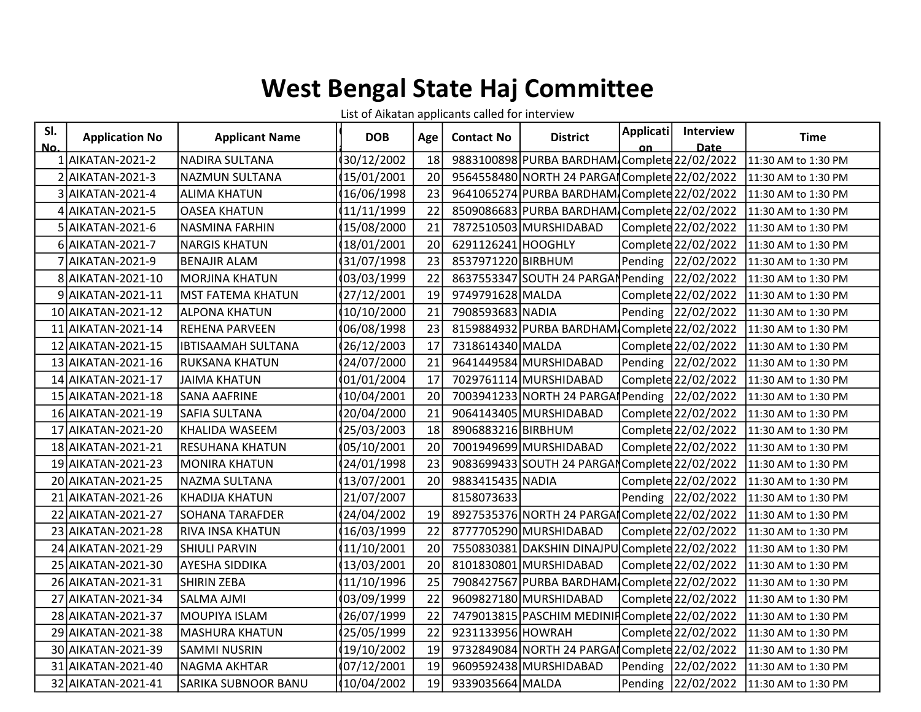## West Bengal State Haj Committee

List of Aikatan applicants called for interview

| SI. | <b>Application No</b> | <b>Applicant Name</b>     | <b>DOB</b> | Age | <b>Contact No</b>  | <b>District</b>                                | <b>Applicati</b> | <b>Interview</b>    | <b>Time</b>         |
|-----|-----------------------|---------------------------|------------|-----|--------------------|------------------------------------------------|------------------|---------------------|---------------------|
| No. |                       |                           |            |     |                    |                                                | nn               | <b>Date</b>         |                     |
|     | <b>AIKATAN-2021-2</b> | <b>NADIRA SULTANA</b>     | 30/12/2002 | 18  |                    | 9883100898 PURBA BARDHAM Complete 22/02/2022   |                  |                     | 11:30 AM to 1:30 PM |
|     | AIKATAN-2021-3        | NAZMUN SULTANA            | 15/01/2001 | 20  |                    | 9564558480 NORTH 24 PARGAI Complete 22/02/2022 |                  |                     | 11:30 AM to 1:30 PM |
|     | AIKATAN-2021-4        | <b>ALIMA KHATUN</b>       | 16/06/1998 | 23  |                    | 9641065274 PURBA BARDHAM Complete 22/02/2022   |                  |                     | 11:30 AM to 1:30 PM |
|     | 4 AIKATAN-2021-5      | <b>OASEA KHATUN</b>       | 11/11/1999 | 22  |                    | 8509086683 PURBA BARDHAM Complete 22/02/2022   |                  |                     | 11:30 AM to 1:30 PM |
|     | 5 AIKATAN-2021-6      | NASMINA FARHIN            | 15/08/2000 | 21  |                    | 7872510503 MURSHIDABAD                         |                  | Complete 22/02/2022 | 11:30 AM to 1:30 PM |
|     | AIKATAN-2021-7        | <b>NARGIS KHATUN</b>      | 18/01/2001 | 20  | 6291126241 HOOGHLY |                                                |                  | Complete 22/02/2022 | 11:30 AM to 1:30 PM |
|     | AIKATAN-2021-9        | <b>BENAJIR ALAM</b>       | 31/07/1998 | 23  | 8537971220 BIRBHUM |                                                |                  | Pending 22/02/2022  | 11:30 AM to 1:30 PM |
|     | 8 AIKATAN-2021-10     | <b>MORJINA KHATUN</b>     | 03/03/1999 | 22  |                    | 8637553347 SOUTH 24 PARGAN Pending 22/02/2022  |                  |                     | 11:30 AM to 1:30 PM |
| 9   | AIKATAN-2021-11       | <b>MST FATEMA KHATUN</b>  | 27/12/2001 | 19  | 9749791628 MALDA   |                                                |                  | Complete 22/02/2022 | 11:30 AM to 1:30 PM |
|     | 10 AIKATAN-2021-12    | <b>ALPONA KHATUN</b>      | 10/10/2000 | 21  | 7908593683 NADIA   |                                                |                  | Pending 22/02/2022  | 11:30 AM to 1:30 PM |
|     | 11 AIKATAN-2021-14    | REHENA PARVEEN            | 06/08/1998 | 23  |                    | 8159884932 PURBA BARDHAM Complete 22/02/2022   |                  |                     | 11:30 AM to 1:30 PM |
| 12  | AIKATAN-2021-15       | <b>IBTISAAMAH SULTANA</b> | 26/12/2003 | 17  | 7318614340 MALDA   |                                                |                  | Complete 22/02/2022 | 11:30 AM to 1:30 PM |
|     | 13 AIKATAN-2021-16    | RUKSANA KHATUN            | 24/07/2000 | 21  |                    | 9641449584 MURSHIDABAD                         |                  | Pending 22/02/2022  | 11:30 AM to 1:30 PM |
|     | 14 AIKATAN-2021-17    | <b>JAIMA KHATUN</b>       | 01/01/2004 | 17  |                    | 7029761114 MURSHIDABAD                         |                  | Complete 22/02/2022 | 11:30 AM to 1:30 PM |
|     | 15 AIKATAN-2021-18    | <b>SANA AAFRINE</b>       | 10/04/2001 | 20  |                    | 7003941233 NORTH 24 PARGA Pending 22/02/2022   |                  |                     | 11:30 AM to 1:30 PM |
|     | 16 AIKATAN-2021-19    | SAFIA SULTANA             | 20/04/2000 | 21  |                    | 9064143405 MURSHIDABAD                         |                  | Complete 22/02/2022 | 11:30 AM to 1:30 PM |
| 17  | AIKATAN-2021-20       | KHALIDA WASEEM            | 25/03/2003 | 18  | 8906883216 BIRBHUM |                                                |                  | Complete 22/02/2022 | 11:30 AM to 1:30 PM |
|     | 18 AIKATAN-2021-21    | RESUHANA KHATUN           | 05/10/2001 | 20  |                    | 7001949699 MURSHIDABAD                         |                  | Complete 22/02/2022 | 11:30 AM to 1:30 PM |
|     | 19 AIKATAN-2021-23    | <b>MONIRA KHATUN</b>      | 24/01/1998 | 23  |                    | 9083699433 SOUTH 24 PARGAN Complete 22/02/2022 |                  |                     | 11:30 AM to 1:30 PM |
| 20  | AIKATAN-2021-25       | NAZMA SULTANA             | 13/07/2001 | 20  | 9883415435 NADIA   |                                                |                  | Complete 22/02/2022 | 11:30 AM to 1:30 PM |
| 21  | AIKATAN-2021-26       | <b>KHADIJA KHATUN</b>     | 21/07/2007 |     | 8158073633         |                                                |                  | Pending 22/02/2022  | 11:30 AM to 1:30 PM |
|     | 22 AIKATAN-2021-27    | <b>SOHANA TARAFDER</b>    | 24/04/2002 | 19  |                    | 8927535376 NORTH 24 PARGA Complete 22/02/2022  |                  |                     | 11:30 AM to 1:30 PM |
|     | 23 AIKATAN-2021-28    | RIVA INSA KHATUN          | 16/03/1999 | 22  |                    | 8777705290 MURSHIDABAD                         |                  | Complete 22/02/2022 | 11:30 AM to 1:30 PM |
|     | 24 AIKATAN-2021-29    | <b>SHIULI PARVIN</b>      | 11/10/2001 | 20  |                    | 7550830381 DAKSHIN DINAJPU Complete 22/02/2022 |                  |                     | 11:30 AM to 1:30 PM |
| 25  | AIKATAN-2021-30       | AYESHA SIDDIKA            | 13/03/2001 | 20  |                    | 8101830801 MURSHIDABAD                         |                  | Complete 22/02/2022 | 11:30 AM to 1:30 PM |
|     | 26 AIKATAN-2021-31    | SHIRIN ZEBA               | 11/10/1996 | 25  |                    | 7908427567 PURBA BARDHAM Complete 22/02/2022   |                  |                     | 11:30 AM to 1:30 PM |
| 27  | AIKATAN-2021-34       | <b>SALMA AJMI</b>         | 03/09/1999 | 22  |                    | 9609827180 MURSHIDABAD                         |                  | Complete 22/02/2022 | 11:30 AM to 1:30 PM |
|     | 28 AIKATAN-2021-37    | MOUPIYA ISLAM             | 26/07/1999 | 22  |                    | 7479013815 PASCHIM MEDINIFComplete 22/02/2022  |                  |                     | 11:30 AM to 1:30 PM |
| 29  | AIKATAN-2021-38       | <b>MASHURA KHATUN</b>     | 25/05/1999 | 22  | 9231133956 HOWRAH  |                                                |                  | Complete 22/02/2022 | 11:30 AM to 1:30 PM |
|     | 30 AIKATAN-2021-39    | <b>SAMMI NUSRIN</b>       | 19/10/2002 | 19  |                    | 9732849084 NORTH 24 PARGAI Complete 22/02/2022 |                  |                     | 11:30 AM to 1:30 PM |
|     | 31 AIKATAN-2021-40    | <b>NAGMA AKHTAR</b>       | 07/12/2001 | 19  |                    | 9609592438 MURSHIDABAD                         |                  | Pending 22/02/2022  | 11:30 AM to 1:30 PM |
|     | 32 AIKATAN-2021-41    | SARIKA SUBNOOR BANU       | 10/04/2002 | 19  | 9339035664 MALDA   |                                                |                  | Pending 22/02/2022  | 11:30 AM to 1:30 PM |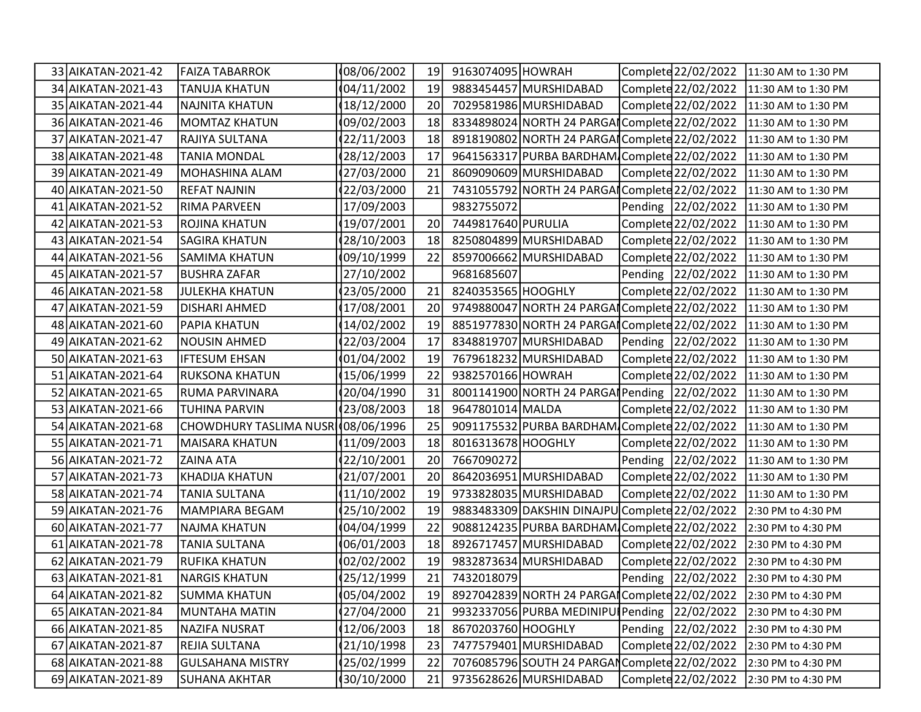| 33 AIKATAN-2021-42 | <b>FAIZA TABARROK</b>              | 08/06/2002  | 19 | 9163074095 HOWRAH  |                                                | Complete 22/02/2022 | 11:30 AM to 1:30 PM |
|--------------------|------------------------------------|-------------|----|--------------------|------------------------------------------------|---------------------|---------------------|
| 34 AIKATAN-2021-43 | <b>TANUJA KHATUN</b>               | 04/11/2002  | 19 |                    | 9883454457 MURSHIDABAD                         | Complete 22/02/2022 | 11:30 AM to 1:30 PM |
| 35 AIKATAN-2021-44 | <b>NAJNITA KHATUN</b>              | 18/12/2000  | 20 |                    | 7029581986 MURSHIDABAD                         | Complete 22/02/2022 | 11:30 AM to 1:30 PM |
| 36 AIKATAN-2021-46 | <b>MOMTAZ KHATUN</b>               | 09/02/2003  | 18 |                    | 8334898024 NORTH 24 PARGAI Complete 22/02/2022 |                     | 11:30 AM to 1:30 PM |
| 37 AIKATAN-2021-47 | RAJIYA SULTANA                     | 22/11/2003  | 18 |                    | 8918190802 NORTH 24 PARGAI Complete 22/02/2022 |                     | 11:30 AM to 1:30 PM |
| 38 AIKATAN-2021-48 | <b>TANIA MONDAL</b>                | 28/12/2003  | 17 |                    | 9641563317 PURBA BARDHAM Complete 22/02/2022   |                     | 11:30 AM to 1:30 PM |
| 39 AIKATAN-2021-49 | MOHASHINA ALAM                     | 27/03/2000  | 21 |                    | 8609090609 MURSHIDABAD                         | Complete 22/02/2022 | 11:30 AM to 1:30 PM |
| 40 AIKATAN-2021-50 | <b>REFAT NAJNIN</b>                | 22/03/2000  | 21 |                    | 7431055792 NORTH 24 PARGAI Complete 22/02/2022 |                     | 11:30 AM to 1:30 PM |
| 41 AIKATAN-2021-52 | <b>RIMA PARVEEN</b>                | 17/09/2003  |    | 9832755072         |                                                | Pending 22/02/2022  | 11:30 AM to 1:30 PM |
| 42 AIKATAN-2021-53 | <b>ROJINA KHATUN</b>               | 19/07/2001  | 20 | 7449817640 PURULIA |                                                | Complete 22/02/2022 | 11:30 AM to 1:30 PM |
| 43 AIKATAN-2021-54 | <b>SAGIRA KHATUN</b>               | 28/10/2003  | 18 |                    | 8250804899 MURSHIDABAD                         | Complete 22/02/2022 | 11:30 AM to 1:30 PM |
| 44 AIKATAN-2021-56 | <b>SAMIMA KHATUN</b>               | 09/10/1999  | 22 |                    | 8597006662 MURSHIDABAD                         | Complete 22/02/2022 | 11:30 AM to 1:30 PM |
| 45 AIKATAN-2021-57 | <b>BUSHRA ZAFAR</b>                | 27/10/2002  |    | 9681685607         |                                                | Pending 22/02/2022  | 11:30 AM to 1:30 PM |
| 46 AIKATAN-2021-58 | <b>JULEKHA KHATUN</b>              | 23/05/2000  | 21 | 8240353565 HOOGHLY |                                                | Complete 22/02/2022 | 11:30 AM to 1:30 PM |
| 47 AIKATAN-2021-59 | <b>DISHARI AHMED</b>               | 17/08/2001  | 20 |                    | 9749880047 NORTH 24 PARGAI Complete 22/02/2022 |                     | 11:30 AM to 1:30 PM |
| 48 AIKATAN-2021-60 | <b>PAPIA KHATUN</b>                | 14/02/2002  | 19 |                    | 8851977830 NORTH 24 PARGAI Complete 22/02/2022 |                     | 11:30 AM to 1:30 PM |
| 49 AIKATAN-2021-62 | <b>NOUSIN AHMED</b>                | 22/03/2004  | 17 |                    | 8348819707 MURSHIDABAD                         | Pending 22/02/2022  | 11:30 AM to 1:30 PM |
| 50 AIKATAN-2021-63 | <b>IFTESUM EHSAN</b>               | 01/04/2002  | 19 |                    | 7679618232 MURSHIDABAD                         | Complete 22/02/2022 | 11:30 AM to 1:30 PM |
| 51 AIKATAN-2021-64 | RUKSONA KHATUN                     | 15/06/1999  | 22 | 9382570166 HOWRAH  |                                                | Complete 22/02/2022 | 11:30 AM to 1:30 PM |
| 52 AIKATAN-2021-65 | <b>RUMA PARVINARA</b>              | 20/04/1990  | 31 |                    | 8001141900 NORTH 24 PARGA Pending 22/02/2022   |                     | 11:30 AM to 1:30 PM |
| 53 AIKATAN-2021-66 | <b>TUHINA PARVIN</b>               | 23/08/2003  | 18 | 9647801014 MALDA   |                                                | Complete 22/02/2022 | 11:30 AM to 1:30 PM |
| 54 AIKATAN-2021-68 | CHOWDHURY TASLIMA NUSR (08/06/1996 |             | 25 |                    | 9091175532 PURBA BARDHAM Complete 22/02/2022   |                     | 11:30 AM to 1:30 PM |
| 55 AIKATAN-2021-71 | MAISARA KHATUN                     | 11/09/2003  | 18 | 8016313678 HOOGHLY |                                                | Complete 22/02/2022 | 11:30 AM to 1:30 PM |
| 56 AIKATAN-2021-72 | <b>ZAINA ATA</b>                   | 22/10/2001  | 20 | 7667090272         |                                                | Pending 22/02/2022  | 11:30 AM to 1:30 PM |
| 57 AIKATAN-2021-73 | KHADIJA KHATUN                     | 21/07/2001  | 20 |                    | 8642036951 MURSHIDABAD                         | Complete 22/02/2022 | 11:30 AM to 1:30 PM |
| 58 AIKATAN-2021-74 | <b>TANIA SULTANA</b>               | 11/10/2002  | 19 |                    | 9733828035 MURSHIDABAD                         | Complete 22/02/2022 | 11:30 AM to 1:30 PM |
| 59 AIKATAN-2021-76 | MAMPIARA BEGAM                     | 25/10/2002  | 19 |                    | 9883483309 DAKSHIN DINAJPU Complete 22/02/2022 |                     | 2:30 PM to 4:30 PM  |
| 60 AIKATAN-2021-77 | <b>NAJMA KHATUN</b>                | 04/04/1999  | 22 |                    | 9088124235 PURBA BARDHAM Complete 22/02/2022   |                     | 2:30 PM to 4:30 PM  |
| 61 AIKATAN-2021-78 | <b>TANIA SULTANA</b>               | 06/01/2003  | 18 |                    | 8926717457 MURSHIDABAD                         | Complete 22/02/2022 | 2:30 PM to 4:30 PM  |
| 62 AIKATAN-2021-79 | <b>RUFIKA KHATUN</b>               | 02/02/2002  | 19 |                    | 9832873634 MURSHIDABAD                         | Complete 22/02/2022 | 2:30 PM to 4:30 PM  |
| 63 AIKATAN-2021-81 | NARGIS KHATUN                      | (25/12/1999 | 21 | 7432018079         |                                                | Pending 22/02/2022  | 2:30 PM to 4:30 PM  |
| 64 AIKATAN-2021-82 | <b>SUMMA KHATUN</b>                | 05/04/2002  | 19 |                    | 8927042839 NORTH 24 PARGAI Complete 22/02/2022 |                     | 2:30 PM to 4:30 PM  |
| 65 AIKATAN-2021-84 | <b>MUNTAHA MATIN</b>               | 27/04/2000  | 21 |                    | 9932337056 PURBA MEDINIPU Pending 22/02/2022   |                     | 2:30 PM to 4:30 PM  |
| 66 AIKATAN-2021-85 | <b>NAZIFA NUSRAT</b>               | 12/06/2003  | 18 | 8670203760 HOOGHLY |                                                | Pending 22/02/2022  | 2:30 PM to 4:30 PM  |
| 67 AIKATAN-2021-87 | <b>REJIA SULTANA</b>               | 21/10/1998  | 23 |                    | 7477579401 MURSHIDABAD                         | Complete 22/02/2022 | 2:30 PM to 4:30 PM  |
| 68 AIKATAN-2021-88 | <b>GULSAHANA MISTRY</b>            | 25/02/1999  | 22 |                    | 7076085796 SOUTH 24 PARGAN Complete 22/02/2022 |                     | 2:30 PM to 4:30 PM  |
| 69 AIKATAN-2021-89 | SUHANA AKHTAR                      | 30/10/2000  | 21 |                    | 9735628626 MURSHIDABAD                         | Complete 22/02/2022 | 2:30 PM to 4:30 PM  |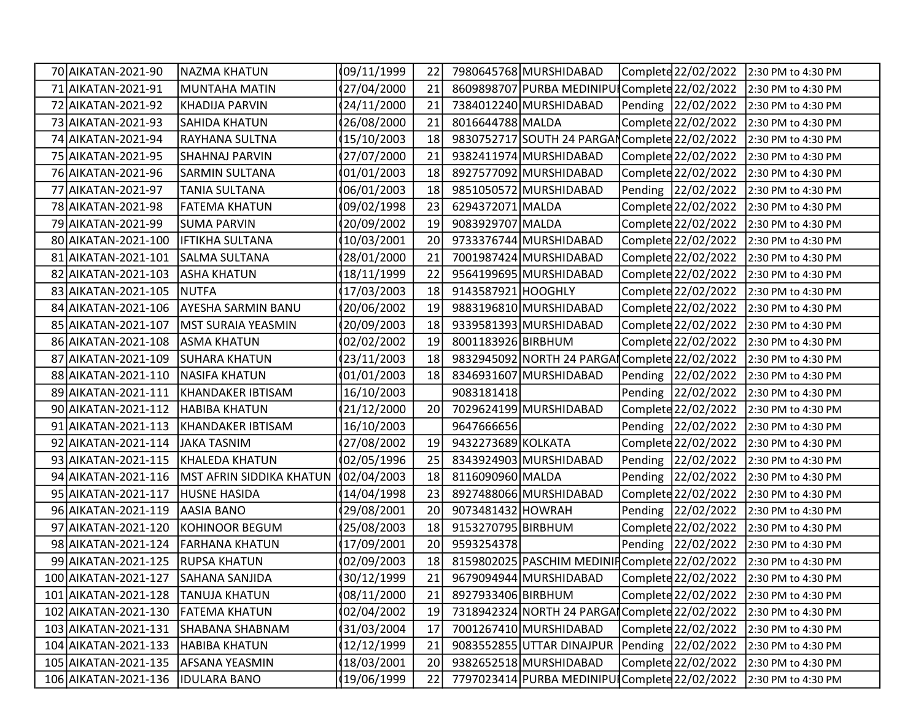| 70 AIKATAN-2021-90   | NAZMA KHATUN              | 09/11/1999  | 22 |                    | 7980645768 MURSHIDABAD                         | Complete 22/02/2022  | 2:30 PM to 4:30 PM                     |
|----------------------|---------------------------|-------------|----|--------------------|------------------------------------------------|----------------------|----------------------------------------|
| 71   AIKATAN-2021-91 | <b>MUNTAHA MATIN</b>      | 27/04/2000  | 21 |                    | 8609898707 PURBA MEDINIPUI Complete 22/02/2022 |                      | 2:30 PM to 4:30 PM                     |
| 72 AIKATAN-2021-92   | <b>KHADIJA PARVIN</b>     | 24/11/2000  | 21 |                    | 7384012240 MURSHIDABAD                         | Pending 22/02/2022   | 2:30 PM to 4:30 PM                     |
| 73 AIKATAN-2021-93   | <b>SAHIDA KHATUN</b>      | 26/08/2000  | 21 | 8016644788 MALDA   |                                                | Complete 22/02/2022  | 2:30 PM to 4:30 PM                     |
| 74 AIKATAN-2021-94   | RAYHANA SULTNA            | 15/10/2003  | 18 |                    | 9830752717 SOUTH 24 PARGAN Complete 22/02/2022 |                      | 2:30 PM to 4:30 PM                     |
| 75 AIKATAN-2021-95   | SHAHNAJ PARVIN            | 27/07/2000  | 21 |                    | 9382411974 MURSHIDABAD                         | Complete 22/02/2022  | 2:30 PM to 4:30 PM                     |
| 76 AIKATAN-2021-96   | <b>SARMIN SULTANA</b>     | 01/01/2003  | 18 |                    | 8927577092 MURSHIDABAD                         | Complete 22/02/2022  | 2:30 PM to 4:30 PM                     |
| 77 AIKATAN-2021-97   | TANIA SULTANA             | 06/01/2003  | 18 |                    | 9851050572 MURSHIDABAD                         | Pending 22/02/2022   | 2:30 PM to 4:30 PM                     |
| 78 AIKATAN-2021-98   | <b>FATEMA KHATUN</b>      | 09/02/1998  | 23 | 6294372071 MALDA   |                                                | Complete 22/02/2022  | 2:30 PM to 4:30 PM                     |
| 79 AIKATAN-2021-99   | <b>SUMA PARVIN</b>        | 20/09/2002  | 19 | 9083929707 MALDA   |                                                | Complete 22/02/2022  | 2:30 PM to 4:30 PM                     |
| 80 AIKATAN-2021-100  | <b>IFTIKHA SULTANA</b>    | 10/03/2001  | 20 |                    | 9733376744 MURSHIDABAD                         | Complete 22/02/2022  | 2:30 PM to 4:30 PM                     |
| 81 AIKATAN-2021-101  | <b>SALMA SULTANA</b>      | 28/01/2000  | 21 |                    | 7001987424 MURSHIDABAD                         | Complete 22/02/2022  | 2:30 PM to 4:30 PM                     |
| 82 AIKATAN-2021-103  | <b>ASHA KHATUN</b>        | 18/11/1999  | 22 |                    | 9564199695 MURSHIDABAD                         | Complete 22/02/2022  | 2:30 PM to 4:30 PM                     |
| 83 AIKATAN-2021-105  | <b>NUTFA</b>              | 17/03/2003  | 18 | 9143587921 HOOGHLY |                                                | Complete 22/02/2022  | 2:30 PM to 4:30 PM                     |
| 84 AIKATAN-2021-106  | <b>AYESHA SARMIN BANU</b> | 20/06/2002  | 19 |                    | 9883196810 MURSHIDABAD                         | Complete 22/02/2022  | 2:30 PM to 4:30 PM                     |
| 85 AIKATAN-2021-107  | MST SURAIA YEASMIN        | 20/09/2003  | 18 |                    | 9339581393 MURSHIDABAD                         | Complete 22/02/2022  | 2:30 PM to 4:30 PM                     |
| 86 AIKATAN-2021-108  | <b>ASMA KHATUN</b>        | 02/02/2002  | 19 | 8001183926 BIRBHUM |                                                | Complete 22/02/2022  | 2:30 PM to 4:30 PM                     |
| 87 AIKATAN-2021-109  | <b>SUHARA KHATUN</b>      | 23/11/2003  | 18 |                    | 9832945092 NORTH 24 PARGAI Complete 22/02/2022 |                      | 2:30 PM to 4:30 PM                     |
| 88 AIKATAN-2021-110  | NASIFA KHATUN             | 01/01/2003  | 18 |                    | 8346931607 MURSHIDABAD                         | Pending 22/02/2022   | 2:30 PM to 4:30 PM                     |
| 89 AIKATAN-2021-111  | KHANDAKER IBTISAM         | 16/10/2003  |    | 9083181418         |                                                | Pending 22/02/2022   | 2:30 PM to 4:30 PM                     |
| 90 AIKATAN-2021-112  | HABIBA KHATUN             | 21/12/2000  | 20 |                    | 7029624199 MURSHIDABAD                         | Complete 22/02/2022  | 2:30 PM to 4:30 PM                     |
| 91 AIKATAN-2021-113  | KHANDAKER IBTISAM         | 16/10/2003  |    | 9647666656         |                                                | Pending 22/02/2022   | 2:30 PM to 4:30 PM                     |
| 92 AIKATAN-2021-114  | JAKA TASNIM               | 27/08/2002  | 19 | 9432273689 KOLKATA |                                                | Complete 22/02/2022  | 2:30 PM to 4:30 PM                     |
| 93 AIKATAN-2021-115  | KHALEDA KHATUN            | 02/05/1996  | 25 |                    | 8343924903 MURSHIDABAD                         | Pending 22/02/2022   | 2:30 PM to 4:30 PM                     |
| 94 AIKATAN-2021-116  | MST AFRIN SIDDIKA KHATUN  | 102/04/2003 | 18 | 8116090960 MALDA   |                                                | Pending 22/02/2022   | 2:30 PM to 4:30 PM                     |
| 95 AIKATAN-2021-117  | <b>HUSNE HASIDA</b>       | 14/04/1998  | 23 |                    | 8927488066 MURSHIDABAD                         | Complete 22/02/2022  | 2:30 PM to 4:30 PM                     |
| 96 AIKATAN-2021-119  | AASIA BANO                | 29/08/2001  | 20 | 9073481432 HOWRAH  |                                                | Pending   22/02/2022 | 2:30 PM to 4:30 PM                     |
| 97 AIKATAN-2021-120  | KOHINOOR BEGUM            | 25/08/2003  | 18 | 9153270795 BIRBHUM |                                                | Complete 22/02/2022  | 2:30 PM to 4:30 PM                     |
| 98 AIKATAN-2021-124  | <b>FARHANA KHATUN</b>     | 17/09/2001  | 20 | 9593254378         |                                                | Pending 22/02/2022   | 2:30 PM to 4:30 PM                     |
| 99 AIKATAN-2021-125  | <b>RUPSA KHATUN</b>       | 02/09/2003  | 18 |                    | 8159802025 PASCHIM MEDINIF Complete 22/02/2022 |                      | 2:30 PM to 4:30 PM                     |
| 100 AIKATAN-2021-127 | <b>SAHANA SANJIDA</b>     | 30/12/1999  | 21 |                    | 9679094944 MURSHIDABAD                         |                      | Complete 22/02/2022 2:30 PM to 4:30 PM |
| 101 AIKATAN-2021-128 | <b>TANUJA KHATUN</b>      | 08/11/2000  | 21 | 8927933406 BIRBHUM |                                                | Complete 22/02/2022  | 2:30 PM to 4:30 PM                     |
| 102 AIKATAN-2021-130 | <b>FATEMA KHATUN</b>      | 02/04/2002  | 19 |                    | 7318942324 NORTH 24 PARGAI Complete 22/02/2022 |                      | 2:30 PM to 4:30 PM                     |
| 103 AIKATAN-2021-131 | SHABANA SHABNAM           | 31/03/2004  | 17 |                    | 7001267410 MURSHIDABAD                         | Complete 22/02/2022  | 2:30 PM to 4:30 PM                     |
| 104 AIKATAN-2021-133 | <b>HABIBA KHATUN</b>      | 12/12/1999  | 21 |                    | 9083552855 UTTAR DINAJPUR                      | Pending 22/02/2022   | 2:30 PM to 4:30 PM                     |
| 105 AIKATAN-2021-135 | <b>AFSANA YEASMIN</b>     | 18/03/2001  | 20 |                    | 9382652518 MURSHIDABAD                         | Complete 22/02/2022  | 2:30 PM to 4:30 PM                     |
| 106 AIKATAN-2021-136 | <b>IDULARA BANO</b>       | 19/06/1999  | 22 |                    | 7797023414 PURBA MEDINIPU Complete 22/02/2022  |                      | 2:30 PM to 4:30 PM                     |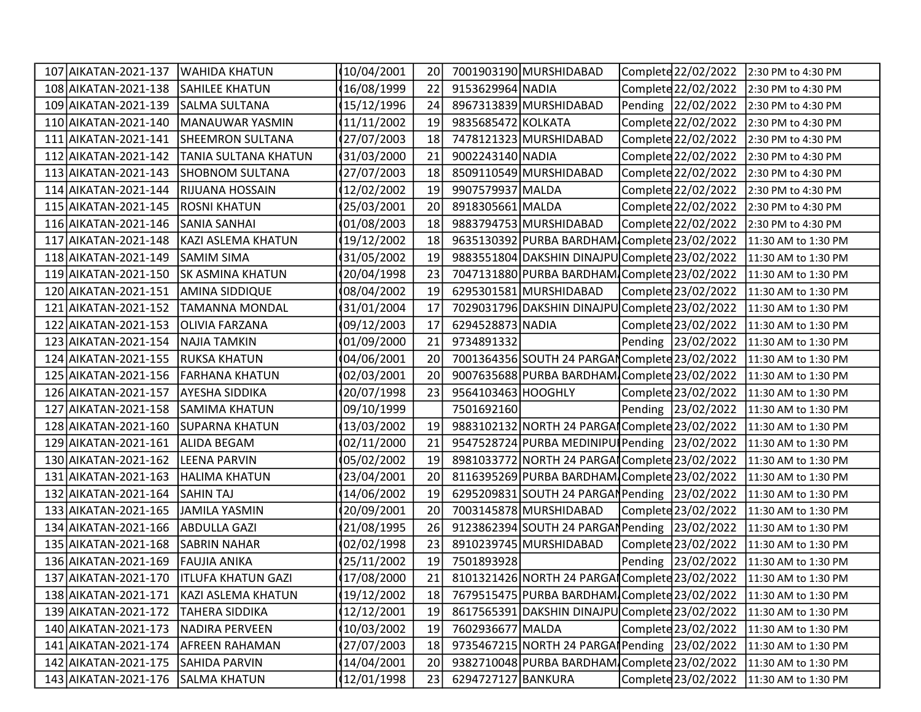| 107 AIKATAN-2021-137     | WAHIDA KHATUN             | 10/04/2001   | 20 |                    | 7001903190 MURSHIDABAD                         | Complete 22/02/2022 | 2:30 PM to 4:30 PM  |
|--------------------------|---------------------------|--------------|----|--------------------|------------------------------------------------|---------------------|---------------------|
| 108 AIKATAN-2021-138     | <b>SAHILEE KHATUN</b>     | 16/08/1999   | 22 | 9153629964 NADIA   |                                                | Complete 22/02/2022 | 2:30 PM to 4:30 PM  |
| 109 AIKATAN-2021-139     | <b>SALMA SULTANA</b>      | 15/12/1996   | 24 |                    | 8967313839 MURSHIDABAD                         | Pending 22/02/2022  | 2:30 PM to 4:30 PM  |
| 110 AIKATAN-2021-140     | MANAUWAR YASMIN           | 11/11/2002   | 19 | 9835685472 KOLKATA |                                                | Complete 22/02/2022 | 2:30 PM to 4:30 PM  |
| LAIKATAN-2021-141<br>111 | SHEEMRON SULTANA          | (27/07/2003  | 18 |                    | 7478121323 MURSHIDABAD                         | Complete 22/02/2022 | 2:30 PM to 4:30 PM  |
| 112 AIKATAN-2021-142     | TANIA SULTANA KHATUN      | (31/03/2000) | 21 | 9002243140 NADIA   |                                                | Complete 22/02/2022 | 2:30 PM to 4:30 PM  |
| 113 AIKATAN-2021-143     | <b>SHOBNOM SULTANA</b>    | (27/07/2003  | 18 |                    | 8509110549 MURSHIDABAD                         | Complete 22/02/2022 | 2:30 PM to 4:30 PM  |
| 114 AIKATAN-2021-144     | <b>RIJUANA HOSSAIN</b>    | 12/02/2002   | 19 | 9907579937 MALDA   |                                                | Complete 22/02/2022 | 2:30 PM to 4:30 PM  |
| 115 AIKATAN-2021-145     | <b>ROSNI KHATUN</b>       | 25/03/2001   | 20 | 8918305661 MALDA   |                                                | Complete 22/02/2022 | 2:30 PM to 4:30 PM  |
| 116 AIKATAN-2021-146     | <b>SANIA SANHAI</b>       | 01/08/2003   | 18 |                    | 9883794753 MURSHIDABAD                         | Complete 22/02/2022 | 2:30 PM to 4:30 PM  |
| 117 AIKATAN-2021-148     | KAZI ASLEMA KHATUN        | 19/12/2002   | 18 |                    | 9635130392 PURBA BARDHAM Complete 23/02/2022   |                     | 11:30 AM to 1:30 PM |
| 118 AIKATAN-2021-149     | <b>SAMIM SIMA</b>         | (31/05/2002  | 19 |                    | 9883551804 DAKSHIN DINAJPU Complete 23/02/2022 |                     | 11:30 AM to 1:30 PM |
| 119 AIKATAN-2021-150     | <b>SK ASMINA KHATUN</b>   | 20/04/1998   | 23 |                    | 7047131880 PURBA BARDHAM Complete 23/02/2022   |                     | 11:30 AM to 1:30 PM |
| 120 AIKATAN-2021-151     | <b>AMINA SIDDIQUE</b>     | 08/04/2002   | 19 |                    | 6295301581 MURSHIDABAD                         | Complete 23/02/2022 | 11:30 AM to 1:30 PM |
| AIKATAN-2021-152<br>121  | <b>TAMANNA MONDAL</b>     | 31/01/2004   | 17 |                    | 7029031796 DAKSHIN DINAJPU Complete 23/02/2022 |                     | 11:30 AM to 1:30 PM |
| AIKATAN-2021-153<br>122  | <b>OLIVIA FARZANA</b>     | 09/12/2003   | 17 | 6294528873 NADIA   |                                                | Complete 23/02/2022 | 11:30 AM to 1:30 PM |
| AIKATAN-2021-154<br>123  | NAJIA TAMKIN              | 01/09/2000   | 21 | 9734891332         |                                                | Pending 23/02/2022  | 11:30 AM to 1:30 PM |
| 124 AIKATAN-2021-155     | <b>RUKSA KHATUN</b>       | 04/06/2001   | 20 |                    | 7001364356 SOUTH 24 PARGAN Complete 23/02/2022 |                     | 11:30 AM to 1:30 PM |
| 125 AIKATAN-2021-156     | FARHANA KHATUN            | 02/03/2001   | 20 |                    | 9007635688 PURBA BARDHAM Complete 23/02/2022   |                     | 11:30 AM to 1:30 PM |
| 126 AIKATAN-2021-157     | AYESHA SIDDIKA            | 20/07/1998   | 23 | 9564103463 HOOGHLY |                                                | Complete 23/02/2022 | 11:30 AM to 1:30 PM |
| 127 AIKATAN-2021-158     | <b>SAMIMA KHATUN</b>      | 09/10/1999   |    | 7501692160         |                                                | Pending 23/02/2022  | 11:30 AM to 1:30 PM |
| 128 AIKATAN-2021-160     | <b>SUPARNA KHATUN</b>     | 13/03/2002   | 19 |                    | 9883102132 NORTH 24 PARGAI Complete 23/02/2022 |                     | 11:30 AM to 1:30 PM |
| 129 AIKATAN-2021-161     | <b>ALIDA BEGAM</b>        | 02/11/2000   | 21 |                    | 9547528724 PURBA MEDINIPU Pending 23/02/2022   |                     | 11:30 AM to 1:30 PM |
| 130 AIKATAN-2021-162     | <b>LEENA PARVIN</b>       | 05/02/2002   | 19 |                    | 8981033772 NORTH 24 PARGAI Complete 23/02/2022 |                     | 11:30 AM to 1:30 PM |
| 131 AIKATAN-2021-163     | <b>HALIMA KHATUN</b>      | 23/04/2001   | 20 |                    | 8116395269 PURBA BARDHAM Complete 23/02/2022   |                     | 11:30 AM to 1:30 PM |
| 132 AIKATAN-2021-164     | <b>SAHIN TAJ</b>          | 14/06/2002   | 19 |                    | 6295209831 SOUTH 24 PARGAN Pending 23/02/2022  |                     | 11:30 AM to 1:30 PM |
| 133 AIKATAN-2021-165     | <b>JAMILA YASMIN</b>      | 20/09/2001   | 20 |                    | 7003145878 MURSHIDABAD                         | Complete 23/02/2022 | 11:30 AM to 1:30 PM |
| 134 AIKATAN-2021-166     | <b>ABDULLA GAZI</b>       | 21/08/1995   | 26 |                    | 9123862394 SOUTH 24 PARGAN Pending 23/02/2022  |                     | 11:30 AM to 1:30 PM |
| 135 AIKATAN-2021-168     | <b>SABRIN NAHAR</b>       | 02/02/1998   | 23 |                    | 8910239745 MURSHIDABAD                         | Complete 23/02/2022 | 11:30 AM to 1:30 PM |
| 136 AIKATAN-2021-169     | <b>FAUJIA ANIKA</b>       | 25/11/2002   | 19 | 7501893928         |                                                | Pending 23/02/2022  | 11:30 AM to 1:30 PM |
| 137 AIKATAN-2021-170     | <b>ITLUFA KHATUN GAZI</b> | (17/08/2000  | 21 |                    | 8101321426 NORTH 24 PARGAI Complete 23/02/2022 |                     | 11:30 AM to 1:30 PM |
| 138 AIKATAN-2021-171     | KAZI ASLEMA KHATUN        | (19/12/2002) | 18 |                    | 7679515475 PURBA BARDHAM Complete 23/02/2022   |                     | 11:30 AM to 1:30 PM |
| 139 AIKATAN-2021-172     | <b>TAHERA SIDDIKA</b>     | 12/12/2001   | 19 |                    | 8617565391 DAKSHIN DINAJPU Complete 23/02/2022 |                     | 11:30 AM to 1:30 PM |
| 140 AIKATAN-2021-173     | <b>NADIRA PERVEEN</b>     | 10/03/2002   | 19 | 7602936677 MALDA   |                                                | Complete 23/02/2022 | 11:30 AM to 1:30 PM |
| 141 AIKATAN-2021-174     | <b>AFREEN RAHAMAN</b>     | 27/07/2003   | 18 |                    | 9735467215 NORTH 24 PARGA Pending 23/02/2022   |                     | 11:30 AM to 1:30 PM |
| 142 AIKATAN-2021-175     | <b>SAHIDA PARVIN</b>      | 14/04/2001   | 20 |                    | 9382710048 PURBA BARDHAM Complete 23/02/2022   |                     | 11:30 AM to 1:30 PM |
| 143 AIKATAN-2021-176     | <b>SALMA KHATUN</b>       | (12/01/1998  | 23 | 6294727127 BANKURA |                                                | Complete 23/02/2022 | 11:30 AM to 1:30 PM |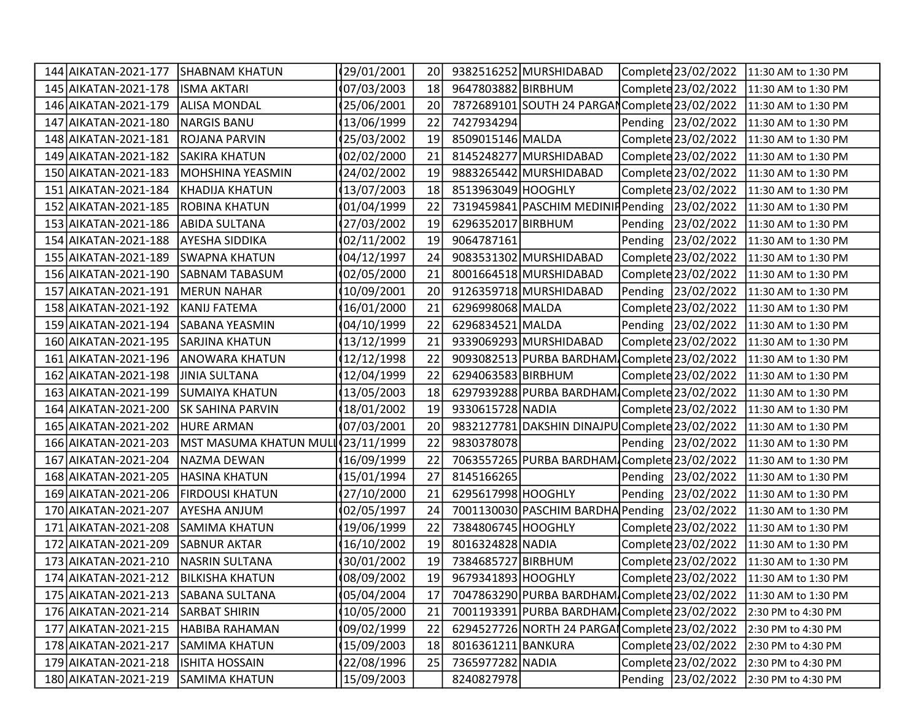| 144 AIKATAN-2021-177 | SHABNAM KHATUN                     | 29/01/2001   | 20 |                    | 9382516252 MURSHIDABAD                         | Complete 23/02/2022 | 11:30 AM to 1:30 PM |
|----------------------|------------------------------------|--------------|----|--------------------|------------------------------------------------|---------------------|---------------------|
| 145 AIKATAN-2021-178 | <b>ISMA AKTARI</b>                 | 07/03/2003   | 18 | 9647803882 BIRBHUM |                                                | Complete 23/02/2022 | 11:30 AM to 1:30 PM |
| 146 AIKATAN-2021-179 | <b>ALISA MONDAL</b>                | 25/06/2001   | 20 |                    | 7872689101 SOUTH 24 PARGAN Complete 23/02/2022 |                     | 11:30 AM to 1:30 PM |
| 147 AIKATAN-2021-180 | <b>NARGIS BANU</b>                 | 13/06/1999   | 22 | 7427934294         |                                                | Pending 23/02/2022  | 11:30 AM to 1:30 PM |
| 148 AIKATAN-2021-181 | <b>ROJANA PARVIN</b>               | 25/03/2002   | 19 | 8509015146 MALDA   |                                                | Complete 23/02/2022 | 11:30 AM to 1:30 PM |
| 149 AIKATAN-2021-182 | <b>SAKIRA KHATUN</b>               | 02/02/2000   | 21 |                    | 8145248277 MURSHIDABAD                         | Complete 23/02/2022 | 11:30 AM to 1:30 PM |
| 150 AIKATAN-2021-183 | MOHSHINA YEASMIN                   | 24/02/2002   | 19 |                    | 9883265442 MURSHIDABAD                         | Complete 23/02/2022 | 11:30 AM to 1:30 PM |
| 151 AIKATAN-2021-184 | KHADIJA KHATUN                     | 13/07/2003   | 18 | 8513963049 HOOGHLY |                                                | Complete 23/02/2022 | 11:30 AM to 1:30 PM |
| 152 AIKATAN-2021-185 | <b>ROBINA KHATUN</b>               | 01/04/1999   | 22 |                    | 7319459841 PASCHIM MEDINIF Pending 23/02/2022  |                     | 11:30 AM to 1:30 PM |
| 153 AIKATAN-2021-186 | <b>ABIDA SULTANA</b>               | 27/03/2002   | 19 | 6296352017 BIRBHUM |                                                | Pending 23/02/2022  | 11:30 AM to 1:30 PM |
| 154 AIKATAN-2021-188 | <b>AYESHA SIDDIKA</b>              | 02/11/2002   | 19 | 9064787161         |                                                | Pending 23/02/2022  | 11:30 AM to 1:30 PM |
| 155 AIKATAN-2021-189 | SWAPNA KHATUN                      | 04/12/1997   | 24 |                    | 9083531302 MURSHIDABAD                         | Complete 23/02/2022 | 11:30 AM to 1:30 PM |
| 156 AIKATAN-2021-190 | <b>SABNAM TABASUM</b>              | 02/05/2000   | 21 |                    | 8001664518 MURSHIDABAD                         | Complete 23/02/2022 | 11:30 AM to 1:30 PM |
| 157 AIKATAN-2021-191 | <b>MERUN NAHAR</b>                 | 10/09/2001   | 20 |                    | 9126359718 MURSHIDABAD                         | Pending 23/02/2022  | 11:30 AM to 1:30 PM |
| 158 AIKATAN-2021-192 | KANIJ FATEMA                       | 16/01/2000   | 21 | 6296998068 MALDA   |                                                | Complete 23/02/2022 | 11:30 AM to 1:30 PM |
| 159 AIKATAN-2021-194 | <b>SABANA YEASMIN</b>              | 04/10/1999   | 22 | 6296834521 MALDA   |                                                | Pending 23/02/2022  | 11:30 AM to 1:30 PM |
| 160 AIKATAN-2021-195 | <b>SARJINA KHATUN</b>              | 13/12/1999   | 21 |                    | 9339069293 MURSHIDABAD                         | Complete 23/02/2022 | 11:30 AM to 1:30 PM |
| 161 AIKATAN-2021-196 | <b>ANOWARA KHATUN</b>              | 12/12/1998   | 22 |                    | 9093082513 PURBA BARDHAM Complete 23/02/2022   |                     | 11:30 AM to 1:30 PM |
| 162 AIKATAN-2021-198 | <b>JINIA SULTANA</b>               | 12/04/1999   | 22 | 6294063583 BIRBHUM |                                                | Complete 23/02/2022 | 11:30 AM to 1:30 PM |
| 163 AIKATAN-2021-199 | SUMAIYA KHATUN                     | 13/05/2003   | 18 |                    | 6297939288 PURBA BARDHAM Complete 23/02/2022   |                     | 11:30 AM to 1:30 PM |
| 164 AIKATAN-2021-200 | <b>SK SAHINA PARVIN</b>            | 18/01/2002   | 19 | 9330615728 NADIA   |                                                | Complete 23/02/2022 | 11:30 AM to 1:30 PM |
| 165 AIKATAN-2021-202 | <b>HURE ARMAN</b>                  | 07/03/2001   | 20 |                    | 9832127781 DAKSHIN DINAJPU Complete 23/02/2022 |                     | 11:30 AM to 1:30 PM |
| 166 AIKATAN-2021-203 | MST MASUMA KHATUN MULI (23/11/1999 |              | 22 | 9830378078         |                                                | Pending 23/02/2022  | 11:30 AM to 1:30 PM |
| 167 AIKATAN-2021-204 | NAZMA DEWAN                        | 16/09/1999   | 22 |                    | 7063557265 PURBA BARDHAM Complete 23/02/2022   |                     | 11:30 AM to 1:30 PM |
| 168 AIKATAN-2021-205 | <b>HASINA KHATUN</b>               | 15/01/1994   | 27 | 8145166265         |                                                | Pending 23/02/2022  | 11:30 AM to 1:30 PM |
| 169 AIKATAN-2021-206 | <b>FIRDOUSI KHATUN</b>             | 27/10/2000   | 21 | 6295617998 HOOGHLY |                                                | Pending 23/02/2022  | 11:30 AM to 1:30 PM |
| 170 AIKATAN-2021-207 | <b>AYESHA ANJUM</b>                | 02/05/1997   | 24 |                    | 7001130030 PASCHIM BARDHA Pending 23/02/2022   |                     | 11:30 AM to 1:30 PM |
| 171 AIKATAN-2021-208 | <b>SAMIMA KHATUN</b>               | 19/06/1999   | 22 | 7384806745 HOOGHLY |                                                | Complete 23/02/2022 | 11:30 AM to 1:30 PM |
| 172 AIKATAN-2021-209 | <b>SABNUR AKTAR</b>                | 16/10/2002   | 19 | 8016324828 NADIA   |                                                | Complete 23/02/2022 | 11:30 AM to 1:30 PM |
| 173 AIKATAN-2021-210 | <b>NASRIN SULTANA</b>              | 30/01/2002   | 19 | 7384685727 BIRBHUM |                                                | Complete 23/02/2022 | 11:30 AM to 1:30 PM |
| 174 AIKATAN-2021-212 | <b>BILKISHA KHATUN</b>             | (08/09/2002) | 19 | 9679341893 HOOGHLY |                                                | Complete 23/02/2022 | 11:30 AM to 1:30 PM |
| 175 AIKATAN-2021-213 | <b>SABANA SULTANA</b>              | 05/04/2004   | 17 |                    | 7047863290 PURBA BARDHAM Complete 23/02/2022   |                     | 11:30 AM to 1:30 PM |
| 176 AIKATAN-2021-214 | <b>SARBAT SHIRIN</b>               | 10/05/2000   | 21 |                    | 7001193391 PURBA BARDHAM Complete 23/02/2022   |                     | 2:30 PM to 4:30 PM  |
| 177 AIKATAN-2021-215 | HABIBA RAHAMAN                     | 09/02/1999   | 22 |                    | 6294527726 NORTH 24 PARGAI Complete 23/02/2022 |                     | 2:30 PM to 4:30 PM  |
| 178 AIKATAN-2021-217 | <b>SAMIMA KHATUN</b>               | 15/09/2003   | 18 | 8016361211 BANKURA |                                                | Complete 23/02/2022 | 2:30 PM to 4:30 PM  |
| 179 AIKATAN-2021-218 | <b>ISHITA HOSSAIN</b>              | 22/08/1996   | 25 | 7365977282 NADIA   |                                                | Complete 23/02/2022 | 2:30 PM to 4:30 PM  |
| 180 AIKATAN-2021-219 | <b>SAMIMA KHATUN</b>               | 15/09/2003   |    | 8240827978         |                                                | Pending 23/02/2022  | 2:30 PM to 4:30 PM  |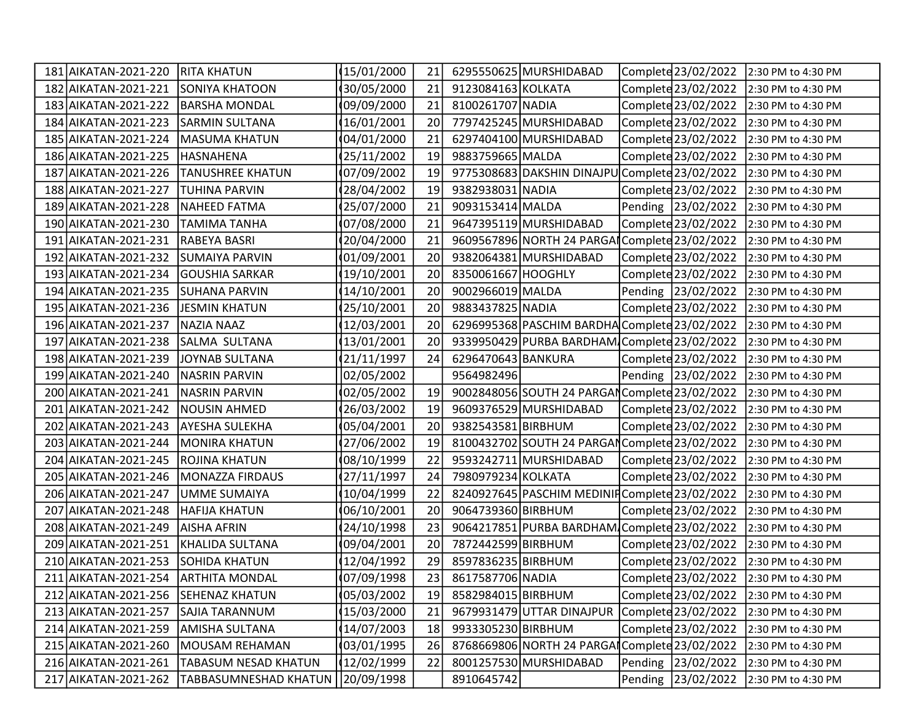| 181 AIKATAN-2021-220    | <b>RITA KHATUN</b>           | (15/01/2000) | 21 |                    | 6295550625 MURSHIDABAD                         | Complete 23/02/2022 | 2:30 PM to 4:30 PM |
|-------------------------|------------------------------|--------------|----|--------------------|------------------------------------------------|---------------------|--------------------|
| 182 AIKATAN-2021-221    | SONIYA KHATOON               | 30/05/2000   | 21 | 9123084163 KOLKATA |                                                | Complete 23/02/2022 | 2:30 PM to 4:30 PM |
| 183 AIKATAN-2021-222    | <b>BARSHA MONDAL</b>         | 09/09/2000   | 21 | 8100261707 NADIA   |                                                | Complete 23/02/2022 | 2:30 PM to 4:30 PM |
| 184 AIKATAN-2021-223    | <b>SARMIN SULTANA</b>        | 16/01/2001   | 20 |                    | 7797425245 MURSHIDABAD                         | Complete 23/02/2022 | 2:30 PM to 4:30 PM |
| 185 AIKATAN-2021-224    | MASUMA KHATUN                | 04/01/2000   | 21 |                    | 6297404100 MURSHIDABAD                         | Complete 23/02/2022 | 2:30 PM to 4:30 PM |
| 186 AIKATAN-2021-225    | HASNAHENA                    | 25/11/2002   | 19 | 9883759665 MALDA   |                                                | Complete 23/02/2022 | 2:30 PM to 4:30 PM |
| 187 AIKATAN-2021-226    | <b>TANUSHREE KHATUN</b>      | 07/09/2002   | 19 |                    | 9775308683 DAKSHIN DINAJPU Complete 23/02/2022 |                     | 2:30 PM to 4:30 PM |
| 188 AIKATAN-2021-227    | <b>TUHINA PARVIN</b>         | 28/04/2002   | 19 | 9382938031 NADIA   |                                                | Complete 23/02/2022 | 2:30 PM to 4:30 PM |
| 189 AIKATAN-2021-228    | <b>NAHEED FATMA</b>          | 25/07/2000   | 21 | 9093153414 MALDA   |                                                | Pending 23/02/2022  | 2:30 PM to 4:30 PM |
| 190 AIKATAN-2021-230    | <b>TAMIMA TANHA</b>          | 07/08/2000   | 21 |                    | 9647395119 MURSHIDABAD                         | Complete 23/02/2022 | 2:30 PM to 4:30 PM |
| 191 AIKATAN-2021-231    | RABEYA BASRI                 | 20/04/2000   | 21 |                    | 9609567896 NORTH 24 PARGA Complete 23/02/2022  |                     | 2:30 PM to 4:30 PM |
| 192 AIKATAN-2021-232    | SUMAIYA PARVIN               | (01/09/2001  | 20 |                    | 9382064381 MURSHIDABAD                         | Complete 23/02/2022 | 2:30 PM to 4:30 PM |
| 193 AIKATAN-2021-234    | <b>GOUSHIA SARKAR</b>        | 19/10/2001   | 20 | 8350061667 HOOGHLY |                                                | Complete 23/02/2022 | 2:30 PM to 4:30 PM |
| 194 AIKATAN-2021-235    | <b>SUHANA PARVIN</b>         | 14/10/2001   | 20 | 9002966019 MALDA   |                                                | Pending 23/02/2022  | 2:30 PM to 4:30 PM |
| 195 AIKATAN-2021-236    | JESMIN KHATUN                | 25/10/2001   | 20 | 9883437825 NADIA   |                                                | Complete 23/02/2022 | 2:30 PM to 4:30 PM |
| 196 AIKATAN-2021-237    | <b>NAZIA NAAZ</b>            | 12/03/2001   | 20 |                    | 6296995368 PASCHIM BARDHA Complete 23/02/2022  |                     | 2:30 PM to 4:30 PM |
| AIKATAN-2021-238<br>197 | SALMA SULTANA                | 13/01/2001   | 20 |                    | 9339950429 PURBA BARDHAM Complete 23/02/2022   |                     | 2:30 PM to 4:30 PM |
| 198 AIKATAN-2021-239    | JOYNAB SULTANA               | 21/11/1997   | 24 | 6296470643 BANKURA |                                                | Complete 23/02/2022 | 2:30 PM to 4:30 PM |
| 199 AIKATAN-2021-240    | <b>NASRIN PARVIN</b>         | 02/05/2002   |    | 9564982496         |                                                | Pending 23/02/2022  | 2:30 PM to 4:30 PM |
| 200 AIKATAN-2021-241    | <b>NASRIN PARVIN</b>         | 02/05/2002   | 19 |                    | 9002848056 SOUTH 24 PARGAN Complete 23/02/2022 |                     | 2:30 PM to 4:30 PM |
| 201 AIKATAN-2021-242    | <b>NOUSIN AHMED</b>          | 26/03/2002   | 19 |                    | 9609376529 MURSHIDABAD                         | Complete 23/02/2022 | 2:30 PM to 4:30 PM |
| AIKATAN-2021-243<br>202 | <b>AYESHA SULEKHA</b>        | 05/04/2001   | 20 | 9382543581 BIRBHUM |                                                | Complete 23/02/2022 | 2:30 PM to 4:30 PM |
| 203 AIKATAN-2021-244    | <b>MONIRA KHATUN</b>         | 27/06/2002   | 19 |                    | 8100432702 SOUTH 24 PARGAN Complete 23/02/2022 |                     | 2:30 PM to 4:30 PM |
| 204 AIKATAN-2021-245    | ROJINA KHATUN                | 08/10/1999   | 22 |                    | 9593242711 MURSHIDABAD                         | Complete 23/02/2022 | 2:30 PM to 4:30 PM |
| 205 AIKATAN-2021-246    | <b>MONAZZA FIRDAUS</b>       | 27/11/1997   | 24 | 7980979234 KOLKATA |                                                | Complete 23/02/2022 | 2:30 PM to 4:30 PM |
| 206 AIKATAN-2021-247    | <b>UMME SUMAIYA</b>          | 10/04/1999   | 22 |                    | 8240927645 PASCHIM MEDINIFComplete 23/02/2022  |                     | 2:30 PM to 4:30 PM |
| AIKATAN-2021-248<br>207 | <b>HAFIJA KHATUN</b>         | 06/10/2001   | 20 | 9064739360 BIRBHUM |                                                | Complete 23/02/2022 | 2:30 PM to 4:30 PM |
| 208 AIKATAN-2021-249    | <b>AISHA AFRIN</b>           | 24/10/1998   | 23 |                    | 9064217851 PURBA BARDHAM Complete 23/02/2022   |                     | 2:30 PM to 4:30 PM |
| 209 AIKATAN-2021-251    | KHALIDA SULTANA              | 09/04/2001   | 20 | 7872442599 BIRBHUM |                                                | Complete 23/02/2022 | 2:30 PM to 4:30 PM |
| 210 AIKATAN-2021-253    | <b>SOHIDA KHATUN</b>         | 12/04/1992   | 29 | 8597836235 BIRBHUM |                                                | Complete 23/02/2022 | 2:30 PM to 4:30 PM |
| 211 AIKATAN-2021-254    | <b>ARTHITA MONDAL</b>        | 07/09/1998   | 23 | 8617587706 NADIA   |                                                | Complete 23/02/2022 | 2:30 PM to 4:30 PM |
| 212 AIKATAN-2021-256    | <b>SEHENAZ KHATUN</b>        | 05/03/2002   | 19 | 8582984015 BIRBHUM |                                                | Complete 23/02/2022 | 2:30 PM to 4:30 PM |
| 213 AIKATAN-2021-257    | <b>SAJIA TARANNUM</b>        | 15/03/2000   | 21 |                    | 9679931479 UTTAR DINAJPUR                      | Complete 23/02/2022 | 2:30 PM to 4:30 PM |
| 214 AIKATAN-2021-259    | <b>AMISHA SULTANA</b>        | 14/07/2003   | 18 | 9933305230 BIRBHUM |                                                | Complete 23/02/2022 | 2:30 PM to 4:30 PM |
| 215 AIKATAN-2021-260    | MOUSAM REHAMAN               | 03/01/1995   | 26 |                    | 8768669806 NORTH 24 PARGAI Complete 23/02/2022 |                     | 2:30 PM to 4:30 PM |
| 216 AIKATAN-2021-261    | TABASUM NESAD KHATUN         | (12/02/1999) | 22 |                    | 8001257530 MURSHIDABAD                         | Pending 23/02/2022  | 2:30 PM to 4:30 PM |
| 217 AIKATAN-2021-262    | <b>TABBASUMNESHAD KHATUN</b> | 20/09/1998   |    | 8910645742         |                                                | Pending 23/02/2022  | 2:30 PM to 4:30 PM |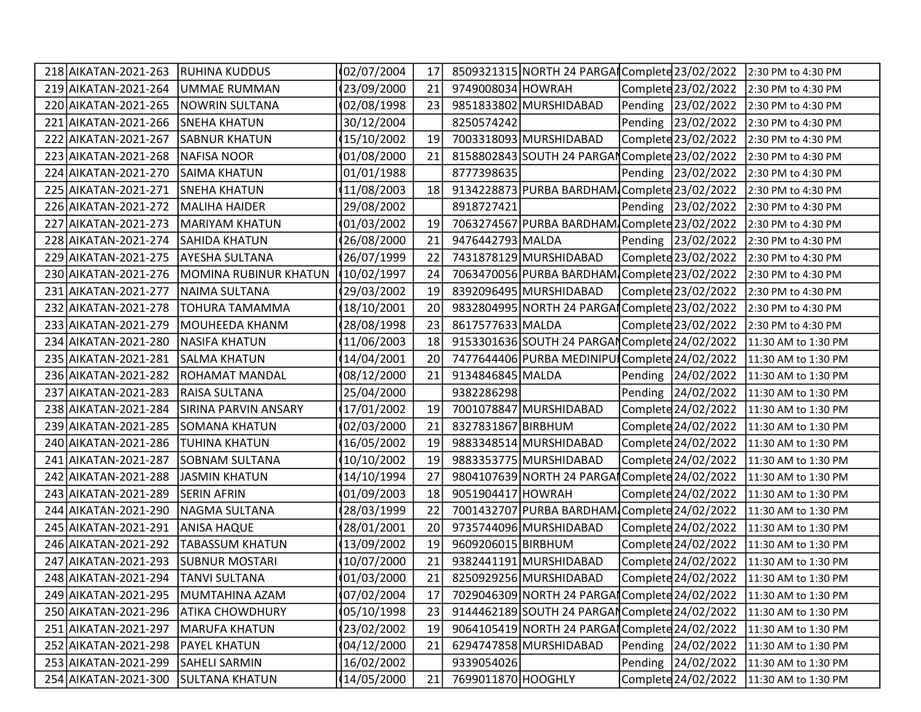| 218 AIKATAN-2021-263 | <b>IRUHINA KUDDUS</b>       | 02/07/2004   | 17 |                    | 8509321315 NORTH 24 PARGAI Complete 23/02/2022 |                     | 2:30 PM to 4:30 PM  |
|----------------------|-----------------------------|--------------|----|--------------------|------------------------------------------------|---------------------|---------------------|
| 219 AIKATAN-2021-264 | UMMAE RUMMAN                | 23/09/2000   | 21 | 9749008034 HOWRAH  |                                                | Complete 23/02/2022 | 2:30 PM to 4:30 PM  |
| 220 AIKATAN-2021-265 | <b>NOWRIN SULTANA</b>       | 02/08/1998   | 23 |                    | 9851833802 MURSHIDABAD                         | Pending 23/02/2022  | 2:30 PM to 4:30 PM  |
| 221 AIKATAN-2021-266 | <b>SNEHA KHATUN</b>         | 30/12/2004   |    | 8250574242         |                                                | Pending 23/02/2022  | 2:30 PM to 4:30 PM  |
| 222 AIKATAN-2021-267 | <b>SABNUR KHATUN</b>        | 15/10/2002   | 19 |                    | 7003318093 MURSHIDABAD                         | Complete 23/02/2022 | 2:30 PM to 4:30 PM  |
| 223 AIKATAN-2021-268 | <b>NAFISA NOOR</b>          | 01/08/2000   | 21 |                    | 8158802843 SOUTH 24 PARGAN Complete 23/02/2022 |                     | 2:30 PM to 4:30 PM  |
| 224 AIKATAN-2021-270 | <b>SAIMA KHATUN</b>         | 01/01/1988   |    | 8777398635         |                                                | Pending 23/02/2022  | 2:30 PM to 4:30 PM  |
| 225 AIKATAN-2021-271 | <b>SNEHA KHATUN</b>         | 11/08/2003   | 18 |                    | 9134228873 PURBA BARDHAM Complete 23/02/2022   |                     | 2:30 PM to 4:30 PM  |
| 226 AIKATAN-2021-272 | <b>MALIHA HAIDER</b>        | 29/08/2002   |    | 8918727421         |                                                | Pending 23/02/2022  | 2:30 PM to 4:30 PM  |
| 227 AIKATAN-2021-273 | <b>MARIYAM KHATUN</b>       | 01/03/2002   | 19 |                    | 7063274567 PURBA BARDHAM Complete 23/02/2022   |                     | 2:30 PM to 4:30 PM  |
| 228 AIKATAN-2021-274 | <b>SAHIDA KHATUN</b>        | 26/08/2000   | 21 | 9476442793 MALDA   |                                                | Pending 23/02/2022  | 2:30 PM to 4:30 PM  |
| 229 AIKATAN-2021-275 | AYESHA SULTANA              | 26/07/1999   | 22 |                    | 7431878129 MURSHIDABAD                         | Complete 23/02/2022 | 2:30 PM to 4:30 PM  |
| 230 AIKATAN-2021-276 | MOMINA RUBINUR KHATUN       | 10/02/1997   | 24 |                    | 7063470056 PURBA BARDHAM Complete 23/02/2022   |                     | 2:30 PM to 4:30 PM  |
| 231 AIKATAN-2021-277 | <b>NAIMA SULTANA</b>        | 29/03/2002   | 19 |                    | 8392096495 MURSHIDABAD                         | Complete 23/02/2022 | 2:30 PM to 4:30 PM  |
| 232 AIKATAN-2021-278 | TOHURA TAMAMMA              | 18/10/2001   | 20 |                    | 9832804995 NORTH 24 PARGAI Complete 23/02/2022 |                     | 2:30 PM to 4:30 PM  |
| 233 AIKATAN-2021-279 | MOUHEEDA KHANM              | 28/08/1998   | 23 | 8617577633 MALDA   |                                                | Complete 23/02/2022 | 2:30 PM to 4:30 PM  |
| 234 AIKATAN-2021-280 | <b>NASIFA KHATUN</b>        | 11/06/2003   | 18 |                    | 9153301636 SOUTH 24 PARGAN Complete 24/02/2022 |                     | 11:30 AM to 1:30 PM |
| 235 AIKATAN-2021-281 | <b>SALMA KHATUN</b>         | 14/04/2001   | 20 |                    | 7477644406 PURBA MEDINIPUI Complete 24/02/2022 |                     | 11:30 AM to 1:30 PM |
| 236 AIKATAN-2021-282 | ROHAMAT MANDAL              | 08/12/2000   | 21 | 9134846845 MALDA   |                                                | Pending 24/02/2022  | 11:30 AM to 1:30 PM |
| 237 AIKATAN-2021-283 | <b>RAISA SULTANA</b>        | 25/04/2000   |    | 9382286298         |                                                | Pending 24/02/2022  | 11:30 AM to 1:30 PM |
| 238 AIKATAN-2021-284 | <b>SIRINA PARVIN ANSARY</b> | 17/01/2002   | 19 |                    | 7001078847 MURSHIDABAD                         | Complete 24/02/2022 | 11:30 AM to 1:30 PM |
| 239 AIKATAN-2021-285 | <b>SOMANA KHATUN</b>        | 02/03/2000   | 21 | 8327831867 BIRBHUM |                                                | Complete 24/02/2022 | 11:30 AM to 1:30 PM |
| 240 AIKATAN-2021-286 | <b>TUHINA KHATUN</b>        | 16/05/2002   | 19 |                    | 9883348514 MURSHIDABAD                         | Complete 24/02/2022 | 11:30 AM to 1:30 PM |
| 241 AIKATAN-2021-287 | SOBNAM SULTANA              | 10/10/2002   | 19 |                    | 9883353775 MURSHIDABAD                         | Complete 24/02/2022 | 11:30 AM to 1:30 PM |
| 242 AIKATAN-2021-288 | <b>JASMIN KHATUN</b>        | 14/10/1994   | 27 |                    | 9804107639 NORTH 24 PARGAI Complete 24/02/2022 |                     | 11:30 AM to 1:30 PM |
| 243 AIKATAN-2021-289 | <b>SERIN AFRIN</b>          | 01/09/2003   | 18 | 9051904417 HOWRAH  |                                                | Complete 24/02/2022 | 11:30 AM to 1:30 PM |
| 244 AIKATAN-2021-290 | NAGMA SULTANA               | 28/03/1999   | 22 |                    | 7001432707 PURBA BARDHAM Complete 24/02/2022   |                     | 11:30 AM to 1:30 PM |
| 245 AIKATAN-2021-291 | <b>ANISA HAQUE</b>          | 28/01/2001   | 20 |                    | 9735744096 MURSHIDABAD                         | Complete 24/02/2022 | 11:30 AM to 1:30 PM |
| 246 AIKATAN-2021-292 | <b>TABASSUM KHATUN</b>      | 13/09/2002   | 19 | 9609206015 BIRBHUM |                                                | Complete 24/02/2022 | 11:30 AM to 1:30 PM |
| 247 AIKATAN-2021-293 | <b>SUBNUR MOSTARI</b>       | 10/07/2000   | 21 |                    | 9382441191 MURSHIDABAD                         | Complete 24/02/2022 | 11:30 AM to 1:30 PM |
| 248 AIKATAN-2021-294 | <b>TANVI SULTANA</b>        | (01/03/2000) | 21 |                    | 8250929256 MURSHIDABAD                         | Complete 24/02/2022 | 11:30 AM to 1:30 PM |
| 249 AIKATAN-2021-295 | MUMTAHINA AZAM              | 07/02/2004   | 17 |                    | 7029046309 NORTH 24 PARGAI Complete 24/02/2022 |                     | 11:30 AM to 1:30 PM |
| 250 AIKATAN-2021-296 | ATIKA CHOWDHURY             | 05/10/1998   | 23 |                    | 9144462189 SOUTH 24 PARGAN Complete 24/02/2022 |                     | 11:30 AM to 1:30 PM |
| 251 AIKATAN-2021-297 | <b>MARUFA KHATUN</b>        | 23/02/2002   | 19 |                    | 9064105419 NORTH 24 PARGAI Complete 24/02/2022 |                     | 11:30 AM to 1:30 PM |
| 252 AIKATAN-2021-298 | <b>PAYEL KHATUN</b>         | 04/12/2000   | 21 |                    | 6294747858 MURSHIDABAD                         | Pending 24/02/2022  | 11:30 AM to 1:30 PM |
| 253 AIKATAN-2021-299 | SAHELI SARMIN               | 16/02/2002   |    | 9339054026         |                                                | Pending 24/02/2022  | 11:30 AM to 1:30 PM |
| 254 AIKATAN-2021-300 | <b>SULTANA KHATUN</b>       | 14/05/2000   | 21 | 7699011870 HOOGHLY |                                                | Complete 24/02/2022 | 11:30 AM to 1:30 PM |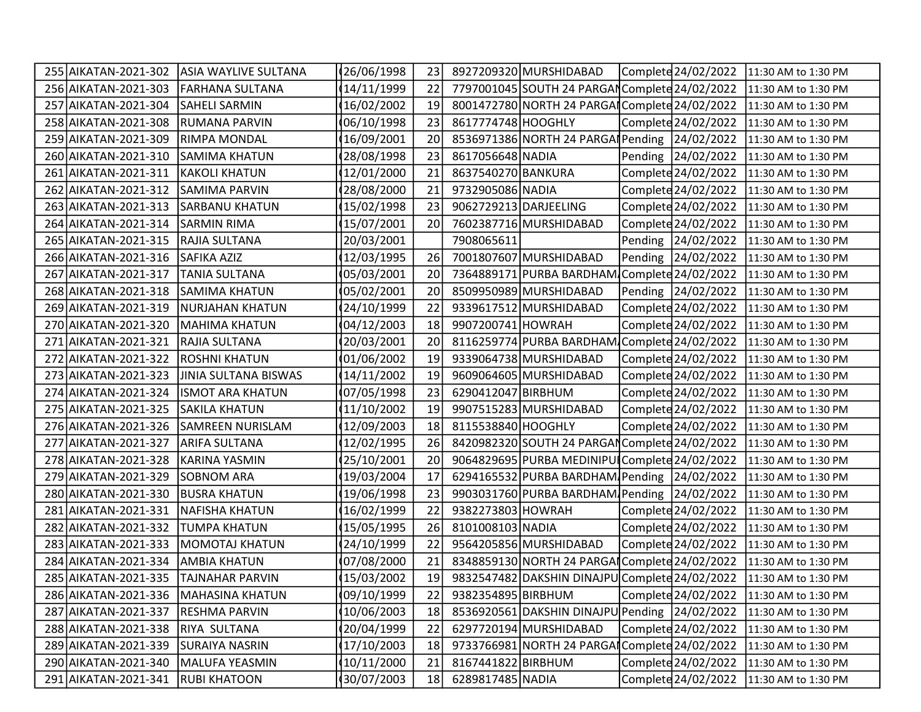|     | 255 AIKATAN-2021-302                 | ASIA WAYLIVE SULTANA    | 26/06/1998   | 23 |                       | 8927209320 MURSHIDABAD                         | Complete 24/02/2022 | 11:30 AM to 1:30 PM |
|-----|--------------------------------------|-------------------------|--------------|----|-----------------------|------------------------------------------------|---------------------|---------------------|
|     | 256 AIKATAN-2021-303                 | <b>FARHANA SULTANA</b>  | 14/11/1999   | 22 |                       | 7797001045 SOUTH 24 PARGAN Complete 24/02/2022 |                     | 11:30 AM to 1:30 PM |
|     | 257 AIKATAN-2021-304                 | <b>SAHELI SARMIN</b>    | 16/02/2002   | 19 |                       | 8001472780 NORTH 24 PARGAI Complete 24/02/2022 |                     | 11:30 AM to 1:30 PM |
|     | 258 AIKATAN-2021-308                 | <b>RUMANA PARVIN</b>    | 06/10/1998   | 23 | 8617774748 HOOGHLY    |                                                | Complete 24/02/2022 | 11:30 AM to 1:30 PM |
|     | 259 AIKATAN-2021-309                 | <b>RIMPA MONDAL</b>     | 16/09/2001   | 20 |                       | 8536971386 NORTH 24 PARGA Pending 24/02/2022   |                     | 11:30 AM to 1:30 PM |
|     | 260 AIKATAN-2021-310                 | SAMIMA KHATUN           | 28/08/1998   | 23 | 8617056648 NADIA      |                                                | Pending 24/02/2022  | 11:30 AM to 1:30 PM |
|     | 261 AIKATAN-2021-311                 | <b>KAKOLI KHATUN</b>    | 12/01/2000   | 21 | 8637540270 BANKURA    |                                                | Complete 24/02/2022 | 11:30 AM to 1:30 PM |
|     | 262 AIKATAN-2021-312                 | <b>SAMIMA PARVIN</b>    | 28/08/2000   | 21 | 9732905086 NADIA      |                                                | Complete 24/02/2022 | 11:30 AM to 1:30 PM |
|     | 263 AIKATAN-2021-313                 | <b>SARBANU KHATUN</b>   | 15/02/1998   | 23 | 9062729213 DARJEELING |                                                | Complete 24/02/2022 | 11:30 AM to 1:30 PM |
|     | 264 AIKATAN-2021-314                 | <b>SARMIN RIMA</b>      | 15/07/2001   | 20 |                       | 7602387716 MURSHIDABAD                         | Complete 24/02/2022 | 11:30 AM to 1:30 PM |
|     | 265 AIKATAN-2021-315                 | RAJIA SULTANA           | 20/03/2001   |    | 7908065611            |                                                | Pending 24/02/2022  | 11:30 AM to 1:30 PM |
|     | 266 AIKATAN-2021-316                 | SAFIKA AZIZ             | 12/03/1995   | 26 |                       | 7001807607 MURSHIDABAD                         | Pending 24/02/2022  | 11:30 AM to 1:30 PM |
|     | 267 AIKATAN-2021-317                 | <b>TANIA SULTANA</b>    | 05/03/2001   | 20 |                       | 7364889171 PURBA BARDHAM Complete 24/02/2022   |                     | 11:30 AM to 1:30 PM |
|     | 268 AIKATAN-2021-318                 | <b>SAMIMA KHATUN</b>    | 05/02/2001   | 20 |                       | 8509950989 MURSHIDABAD                         | Pending 24/02/2022  | 11:30 AM to 1:30 PM |
|     | 269 AIKATAN-2021-319                 | NURJAHAN KHATUN         | 24/10/1999   | 22 |                       | 9339617512 MURSHIDABAD                         | Complete 24/02/2022 | 11:30 AM to 1:30 PM |
|     | 270 AIKATAN-2021-320                 | <b>MAHIMA KHATUN</b>    | 04/12/2003   | 18 | 9907200741 HOWRAH     |                                                | Complete 24/02/2022 | 11:30 AM to 1:30 PM |
| 271 | AIKATAN-2021-321                     | <b>RAJIA SULTANA</b>    | 20/03/2001   | 20 |                       | 8116259774 PURBA BARDHAM Complete 24/02/2022   |                     | 11:30 AM to 1:30 PM |
|     | 272 AIKATAN-2021-322                 | <b>ROSHNI KHATUN</b>    | 01/06/2002   | 19 |                       | 9339064738 MURSHIDABAD                         | Complete 24/02/2022 | 11:30 AM to 1:30 PM |
|     | 273 AIKATAN-2021-323                 | JINIA SULTANA BISWAS    | 14/11/2002   | 19 |                       | 9609064605 MURSHIDABAD                         | Complete 24/02/2022 | 11:30 AM to 1:30 PM |
|     | 274 AIKATAN-2021-324                 | <b>ISMOT ARA KHATUN</b> | 07/05/1998   | 23 | 6290412047 BIRBHUM    |                                                | Complete 24/02/2022 | 11:30 AM to 1:30 PM |
|     | 275 AIKATAN-2021-325                 | <b>SAKILA KHATUN</b>    | 11/10/2002   | 19 |                       | 9907515283 MURSHIDABAD                         | Complete 24/02/2022 | 11:30 AM to 1:30 PM |
|     | 276 AIKATAN-2021-326                 | SAMREEN NURISLAM        | 12/09/2003   | 18 | 8115538840 HOOGHLY    |                                                | Complete 24/02/2022 | 11:30 AM to 1:30 PM |
|     | 277 AIKATAN-2021-327                 | <b>ARIFA SULTANA</b>    | 12/02/1995   | 26 |                       | 8420982320 SOUTH 24 PARGAN Complete 24/02/2022 |                     | 11:30 AM to 1:30 PM |
|     | 278 AIKATAN-2021-328                 | KARINA YASMIN           | 25/10/2001   | 20 |                       | 9064829695 PURBA MEDINIPUI Complete 24/02/2022 |                     | 11:30 AM to 1:30 PM |
|     | 279 AIKATAN-2021-329                 | <b>SOBNOM ARA</b>       | 19/03/2004   | 17 |                       | 6294165532 PURBA BARDHAM Pending 24/02/2022    |                     | 11:30 AM to 1:30 PM |
|     | 280 AIKATAN-2021-330                 | BUSRA KHATUN            | 19/06/1998   | 23 |                       | 9903031760 PURBA BARDHAM Pending 24/02/2022    |                     | 11:30 AM to 1:30 PM |
|     | 281 AIKATAN-2021-331                 | <b>NAFISHA KHATUN</b>   | 16/02/1999   | 22 | 9382273803 HOWRAH     |                                                | Complete 24/02/2022 | 11:30 AM to 1:30 PM |
|     | 282 AIKATAN-2021-332                 | <b>TUMPA KHATUN</b>     | 15/05/1995   | 26 | 8101008103 NADIA      |                                                | Complete 24/02/2022 | 11:30 AM to 1:30 PM |
|     | 283 AIKATAN-2021-333                 | <b>MOMOTAJ KHATUN</b>   | 24/10/1999   | 22 |                       | 9564205856 MURSHIDABAD                         | Complete 24/02/2022 | 11:30 AM to 1:30 PM |
|     | 284 AIKATAN-2021-334                 | <b>AMBIA KHATUN</b>     | 07/08/2000   | 21 |                       | 8348859130 NORTH 24 PARGAI Complete 24/02/2022 |                     | 11:30 AM to 1:30 PM |
|     | 285 AIKATAN-2021-335 TAJNAHAR PARVIN |                         | (15/03/2002) | 19 |                       | 9832547482 DAKSHIN DINAJPU Complete 24/02/2022 |                     | 11:30 AM to 1:30 PM |
|     | 286 AIKATAN-2021-336                 | <b>MAHASINA KHATUN</b>  | 09/10/1999   | 22 | 9382354895 BIRBHUM    |                                                | Complete 24/02/2022 | 11:30 AM to 1:30 PM |
|     | 287 AIKATAN-2021-337                 | <b>RESHMA PARVIN</b>    | 10/06/2003   | 18 |                       | 8536920561 DAKSHIN DINAJPU Pending 24/02/2022  |                     | 11:30 AM to 1:30 PM |
|     | 288 AIKATAN-2021-338                 | RIYA SULTANA            | 20/04/1999   | 22 |                       | 6297720194 MURSHIDABAD                         | Complete 24/02/2022 | 11:30 AM to 1:30 PM |
|     | 289 AIKATAN-2021-339                 | <b>SURAIYA NASRIN</b>   | 17/10/2003   | 18 |                       | 9733766981 NORTH 24 PARGAI                     | Complete 24/02/2022 | 11:30 AM to 1:30 PM |
|     | 290 AIKATAN-2021-340                 | MALUFA YEASMIN          | 10/11/2000   | 21 | 8167441822 BIRBHUM    |                                                | Complete 24/02/2022 | 11:30 AM to 1:30 PM |
|     | 291 AIKATAN-2021-341                 | <b>RUBI KHATOON</b>     | 30/07/2003   | 18 | 6289817485 NADIA      |                                                | Complete 24/02/2022 | 11:30 AM to 1:30 PM |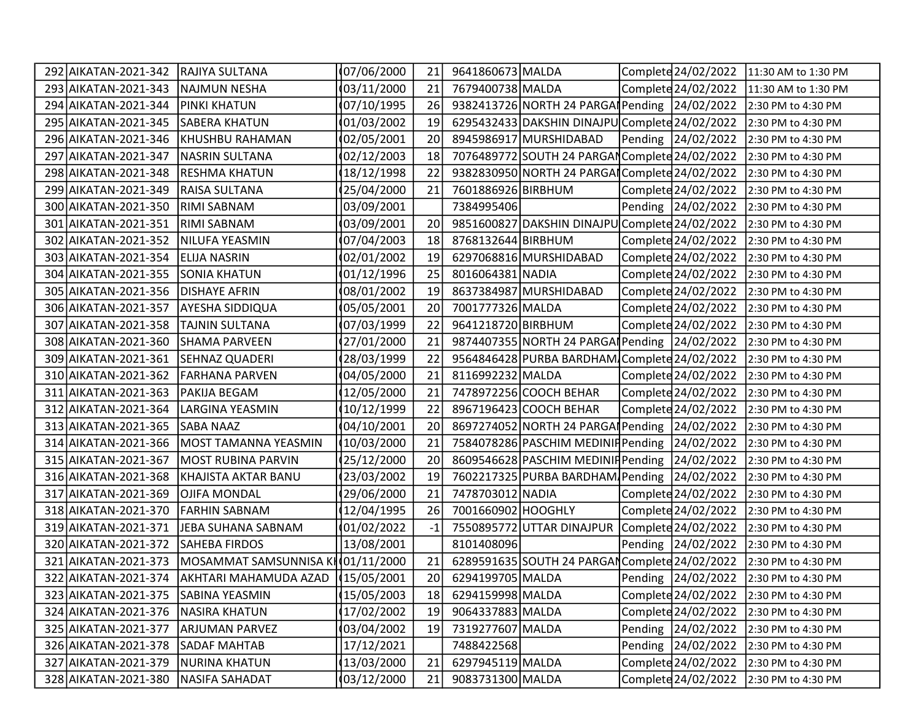| 292 AIKATAN-2021-342 | <b>RAJIYA SULTANA</b>                                     | 07/06/2000 | 21              | 9641860673 MALDA   |                                                | Complete 24/02/2022 | 11:30 AM to 1:30 PM |
|----------------------|-----------------------------------------------------------|------------|-----------------|--------------------|------------------------------------------------|---------------------|---------------------|
| 293 AIKATAN-2021-343 | NAJMUN NESHA                                              | 03/11/2000 | 21              | 7679400738 MALDA   |                                                | Complete 24/02/2022 | 11:30 AM to 1:30 PM |
| 294 AIKATAN-2021-344 | PINKI KHATUN                                              | 07/10/1995 | 26              |                    | 9382413726 NORTH 24 PARGA Pending 24/02/2022   |                     | 2:30 PM to 4:30 PM  |
| 295 AIKATAN-2021-345 | <b>SABERA KHATUN</b>                                      | 01/03/2002 | 19              |                    | 6295432433 DAKSHIN DINAJPU Complete 24/02/2022 |                     | 2:30 PM to 4:30 PM  |
| 296 AIKATAN-2021-346 | KHUSHBU RAHAMAN                                           | 02/05/2001 | 20              |                    | 8945986917 MURSHIDABAD                         | Pending 24/02/2022  | 2:30 PM to 4:30 PM  |
| 297 AIKATAN-2021-347 | <b>NASRIN SULTANA</b>                                     | 02/12/2003 | 18              |                    | 7076489772 SOUTH 24 PARGAN Complete 24/02/2022 |                     | 2:30 PM to 4:30 PM  |
| 298 AIKATAN-2021-348 | <b>RESHMA KHATUN</b>                                      | 18/12/1998 | 22              |                    | 9382830950 NORTH 24 PARGAI Complete 24/02/2022 |                     | 2:30 PM to 4:30 PM  |
| 299 AIKATAN-2021-349 | RAISA SULTANA                                             | 25/04/2000 | 21              | 7601886926 BIRBHUM |                                                | Complete 24/02/2022 | 2:30 PM to 4:30 PM  |
| 300 AIKATAN-2021-350 | <b>RIMI SABNAM</b>                                        | 03/09/2001 |                 | 7384995406         |                                                | Pending 24/02/2022  | 2:30 PM to 4:30 PM  |
| 301 AIKATAN-2021-351 | <b>RIMI SABNAM</b>                                        | 03/09/2001 | 20              |                    | 9851600827 DAKSHIN DINAJPU Complete 24/02/2022 |                     | 2:30 PM to 4:30 PM  |
| 302 AIKATAN-2021-352 | NILUFA YEASMIN                                            | 07/04/2003 | 18              | 8768132644 BIRBHUM |                                                | Complete 24/02/2022 | 2:30 PM to 4:30 PM  |
| 303 AIKATAN-2021-354 | <b>ELIJA NASRIN</b>                                       | 02/01/2002 | 19              |                    | 6297068816 MURSHIDABAD                         | Complete 24/02/2022 | 2:30 PM to 4:30 PM  |
| 304 AIKATAN-2021-355 | <b>SONIA KHATUN</b>                                       | 01/12/1996 | 25              | 8016064381 NADIA   |                                                | Complete 24/02/2022 | 2:30 PM to 4:30 PM  |
| 305 AIKATAN-2021-356 | <b>DISHAYE AFRIN</b>                                      | 08/01/2002 | 19              |                    | 8637384987 MURSHIDABAD                         | Complete 24/02/2022 | 2:30 PM to 4:30 PM  |
| 306 AIKATAN-2021-357 | <b>AYESHA SIDDIQUA</b>                                    | 05/05/2001 | 20              | 7001777326 MALDA   |                                                | Complete 24/02/2022 | 2:30 PM to 4:30 PM  |
| 307 AIKATAN-2021-358 | TAJNIN SULTANA                                            | 07/03/1999 | 22              | 9641218720 BIRBHUM |                                                | Complete 24/02/2022 | 2:30 PM to 4:30 PM  |
| 308 AIKATAN-2021-360 | SHAMA PARVEEN                                             | 27/01/2000 | 21              |                    | 9874407355 NORTH 24 PARGA Pending 24/02/2022   |                     | 2:30 PM to 4:30 PM  |
| 309 AIKATAN-2021-361 | SEHNAZ QUADERI                                            | 28/03/1999 | 22              |                    | 9564846428 PURBA BARDHAM Complete 24/02/2022   |                     | 2:30 PM to 4:30 PM  |
| 310 AIKATAN-2021-362 | FARHANA PARVEN                                            | 04/05/2000 | 21              | 8116992232 MALDA   |                                                | Complete 24/02/2022 | 2:30 PM to 4:30 PM  |
| 311 AIKATAN-2021-363 | PAKIJA BEGAM                                              | 12/05/2000 | 21              |                    | 7478972256 COOCH BEHAR                         | Complete 24/02/2022 | 2:30 PM to 4:30 PM  |
| 312 AIKATAN-2021-364 | LARGINA YEASMIN                                           | 10/12/1999 | 22              |                    | 8967196423 COOCH BEHAR                         | Complete 24/02/2022 | 2:30 PM to 4:30 PM  |
| 313 AIKATAN-2021-365 | SABA NAAZ                                                 | 04/10/2001 | 20              |                    | 8697274052 NORTH 24 PARGA Pending 24/02/2022   |                     | 2:30 PM to 4:30 PM  |
| 314 AIKATAN-2021-366 | MOST TAMANNA YEASMIN                                      | 10/03/2000 | 21              |                    | 7584078286 PASCHIM MEDINIF Pending 24/02/2022  |                     | 2:30 PM to 4:30 PM  |
| 315 AIKATAN-2021-367 | MOST RUBINA PARVIN                                        | 25/12/2000 | 20              |                    | 8609546628 PASCHIM MEDINIF Pending 24/02/2022  |                     | 2:30 PM to 4:30 PM  |
| 316 AIKATAN-2021-368 | KHAJISTA AKTAR BANU                                       | 23/03/2002 | 19              |                    | 7602217325 PURBA BARDHAM Pending 24/02/2022    |                     | 2:30 PM to 4:30 PM  |
| 317 AIKATAN-2021-369 | <b>OJIFA MONDAL</b>                                       | 29/06/2000 | 21              | 7478703012 NADIA   |                                                | Complete 24/02/2022 | 2:30 PM to 4:30 PM  |
| 318 AIKATAN-2021-370 | <b>FARHIN SABNAM</b>                                      | 12/04/1995 | 26              | 7001660902 HOOGHLY |                                                | Complete 24/02/2022 | 2:30 PM to 4:30 PM  |
| 319 AIKATAN-2021-371 | JEBA SUHANA SABNAM                                        | 01/02/2022 | $-1$            |                    | 7550895772 UTTAR DINAJPUR Complete 24/02/2022  |                     | 2:30 PM to 4:30 PM  |
| 320 AIKATAN-2021-372 | <b>SAHEBA FIRDOS</b>                                      | 13/08/2001 |                 | 8101408096         |                                                | Pending 24/02/2022  | 2:30 PM to 4:30 PM  |
| 321 AIKATAN-2021-373 | MOSAMMAT SAMSUNNISA KI(01/11/2000                         |            | 21              |                    | 6289591635 SOUTH 24 PARGAN Complete 24/02/2022 |                     | 2:30 PM to 4:30 PM  |
|                      | 322 AIKATAN-2021-374   AKHTARI MAHAMUDA AZAD   15/05/2001 |            | 20 <sup>1</sup> | 6294199705 MALDA   |                                                | Pending 24/02/2022  | 2:30 PM to 4:30 PM  |
| 323 AIKATAN-2021-375 | SABINA YEASMIN                                            | 15/05/2003 | 18              | 6294159998 MALDA   |                                                | Complete 24/02/2022 | 2:30 PM to 4:30 PM  |
| 324 AIKATAN-2021-376 | <b>NASIRA KHATUN</b>                                      | 17/02/2002 | 19              | 9064337883 MALDA   |                                                | Complete 24/02/2022 | 2:30 PM to 4:30 PM  |
| 325 AIKATAN-2021-377 | <b>ARJUMAN PARVEZ</b>                                     | 03/04/2002 | 19              | 7319277607 MALDA   |                                                | Pending 24/02/2022  | 2:30 PM to 4:30 PM  |
| 326 AIKATAN-2021-378 | <b>SADAF MAHTAB</b>                                       | 17/12/2021 |                 | 7488422568         |                                                | Pending 24/02/2022  | 2:30 PM to 4:30 PM  |
| 327 AIKATAN-2021-379 | <b>NURINA KHATUN</b>                                      | 13/03/2000 | 21              | 6297945119 MALDA   |                                                | Complete 24/02/2022 | 2:30 PM to 4:30 PM  |
| 328 AIKATAN-2021-380 | <b>NASIFA SAHADAT</b>                                     | 03/12/2000 | 21              | 9083731300 MALDA   |                                                | Complete 24/02/2022 | 2:30 PM to 4:30 PM  |